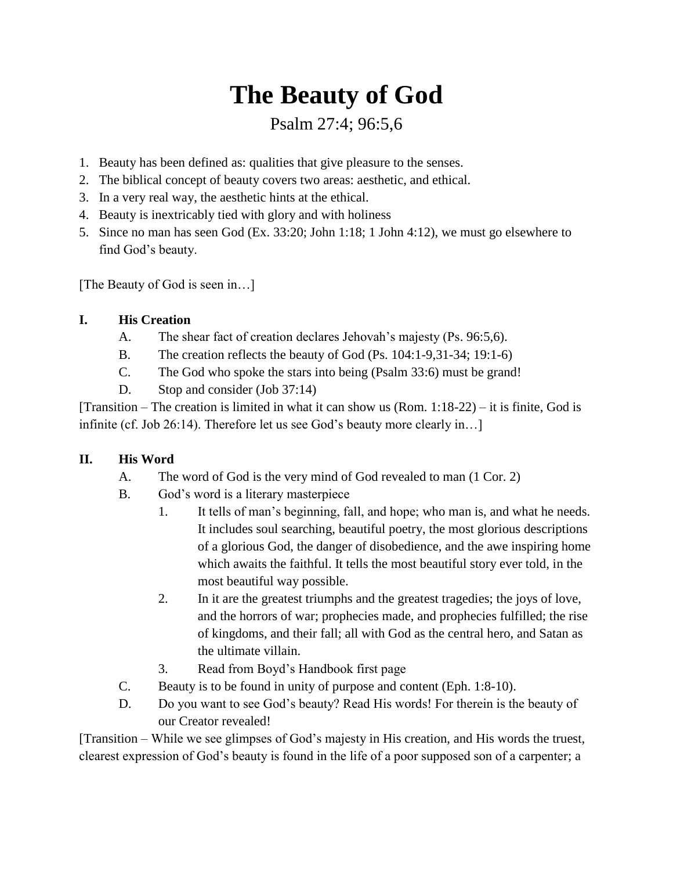# **The Beauty of God**

## Psalm 27:4; 96:5,6

- 1. Beauty has been defined as: qualities that give pleasure to the senses.
- 2. The biblical concept of beauty covers two areas: aesthetic, and ethical.
- 3. In a very real way, the aesthetic hints at the ethical.
- 4. Beauty is inextricably tied with glory and with holiness
- 5. Since no man has seen God (Ex. 33:20; John 1:18; 1 John 4:12), we must go elsewhere to find God's beauty.

[The Beauty of God is seen in...]

### **I. His Creation**

- A. The shear fact of creation declares Jehovah's majesty (Ps. 96:5,6).
- B. The creation reflects the beauty of God (Ps. 104:1-9,31-34; 19:1-6)
- C. The God who spoke the stars into being (Psalm 33:6) must be grand!
- D. Stop and consider (Job 37:14)

[Transition – The creation is limited in what it can show us (Rom.  $1:18-22$ ) – it is finite, God is infinite (cf. Job 26:14). Therefore let us see God's beauty more clearly in…]

#### **II. His Word**

- A. The word of God is the very mind of God revealed to man (1 Cor. 2)
- B. God's word is a literary masterpiece
	- 1. It tells of man's beginning, fall, and hope; who man is, and what he needs. It includes soul searching, beautiful poetry, the most glorious descriptions of a glorious God, the danger of disobedience, and the awe inspiring home which awaits the faithful. It tells the most beautiful story ever told, in the most beautiful way possible.
	- 2. In it are the greatest triumphs and the greatest tragedies; the joys of love, and the horrors of war; prophecies made, and prophecies fulfilled; the rise of kingdoms, and their fall; all with God as the central hero, and Satan as the ultimate villain.
	- 3. Read from Boyd's Handbook first page
- C. Beauty is to be found in unity of purpose and content (Eph. 1:8-10).
- D. Do you want to see God's beauty? Read His words! For therein is the beauty of our Creator revealed!

[Transition – While we see glimpses of God's majesty in His creation, and His words the truest, clearest expression of God's beauty is found in the life of a poor supposed son of a carpenter; a